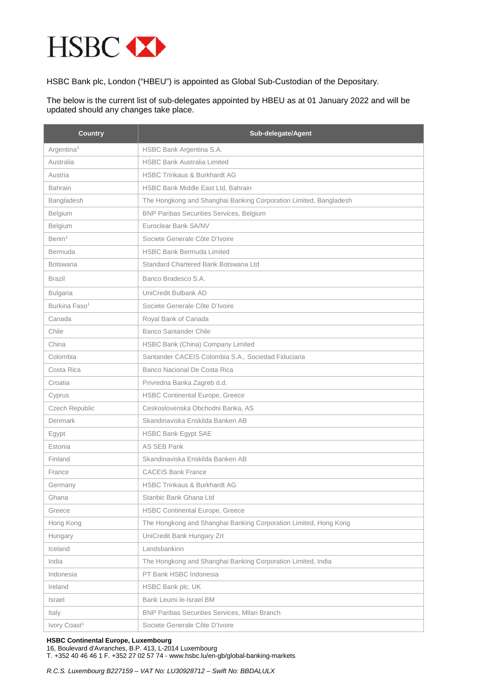

HSBC Bank plc, London ("HBEU") is appointed as Global Sub-Custodian of the Depositary.

The below is the current list of sub-delegates appointed by HBEU as at 01 January 2022 and will be updated should any changes take place.

| <b>Country</b>            | Sub-delegate/Agent                                                |
|---------------------------|-------------------------------------------------------------------|
| Argentina <sup>3</sup>    | HSBC Bank Argentina S.A.                                          |
| Australia                 | <b>HSBC Bank Australia Limited</b>                                |
| Austria                   | <b>HSBC Trinkaus &amp; Burkhardt AG</b>                           |
| <b>Bahrain</b>            | HSBC Bank Middle East Ltd, Bahrain                                |
| Bangladesh                | The Hongkong and Shanghai Banking Corporation Limited, Bangladesh |
| Belgium                   | <b>BNP Paribas Securities Services, Belgium</b>                   |
| Belgium                   | Euroclear Bank SA/NV                                              |
| Benin <sup>1</sup>        | Societe Generale Côte D'Ivoire                                    |
| Bermuda                   | <b>HSBC Bank Bermuda Limited</b>                                  |
| <b>Botswana</b>           | Standard Chartered Bank Botswana Ltd                              |
| <b>Brazil</b>             | Banco Bradesco S.A.                                               |
| <b>Bulgaria</b>           | UniCredit Bulbank AD                                              |
| Burkina Faso <sup>1</sup> | Societe Generale Côte D'Ivoire                                    |
| Canada                    | Royal Bank of Canada                                              |
| Chile                     | <b>Banco Santander Chile</b>                                      |
| China                     | HSBC Bank (China) Company Limited                                 |
| Colombia                  | Santander CACEIS Colombia S.A., Sociedad Fiduciaria               |
| Costa Rica                | Banco Nacional De Costa Rica                                      |
| Croatia                   | Privredna Banka Zagreb d.d.                                       |
| Cyprus                    | <b>HSBC Continental Europe, Greece</b>                            |
| Czech Republic            | Ceskoslovenska Obchodni Banka, AS                                 |
| Denmark                   | Skandinaviska Enskilda Banken AB                                  |
| Egypt                     | <b>HSBC Bank Egypt SAE</b>                                        |
| Estonia                   | <b>AS SEB Pank</b>                                                |
| Finland                   | Skandinaviska Enskilda Banken AB                                  |
| France                    | <b>CACEIS Bank France</b>                                         |
| Germany                   | <b>HSBC Trinkaus &amp; Burkhardt AG</b>                           |
| Ghana                     | Stanbic Bank Ghana Ltd                                            |
| Greece                    | <b>HSBC Continental Europe, Greece</b>                            |
| Hong Kong                 | The Hongkong and Shanghai Banking Corporation Limited, Hong Kong  |
| Hungary                   | UniCredit Bank Hungary Zrt                                        |
| Iceland                   | Landsbankinn                                                      |
| India                     | The Hongkong and Shanghai Banking Corporation Limited, India      |
| Indonesia                 | PT Bank HSBC Indonesia                                            |
| Ireland                   | HSBC Bank plc, UK                                                 |
| Israel                    | Bank Leumi le-Israel BM                                           |
| Italy                     | BNP Paribas Securities Services, Milan Branch                     |
| Ivory Coast <sup>1</sup>  | Societe Generale Côte D'Ivoire                                    |

## **HSBC Continental Europe, Luxembourg**

16, Boulevard d'Avranches, B.P. 413, L-2014 Luxembourg T. +352 40 46 46 1 F. +352 27 02 57 74 - www.hsbc.lu/en-gb/global-banking-markets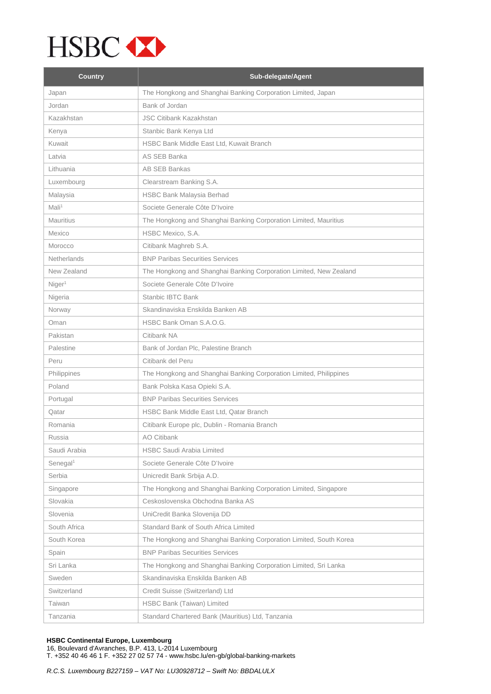

| <b>Country</b>       | Sub-delegate/Agent                                                 |
|----------------------|--------------------------------------------------------------------|
| Japan                | The Hongkong and Shanghai Banking Corporation Limited, Japan       |
| Jordan               | Bank of Jordan                                                     |
| Kazakhstan           | <b>JSC Citibank Kazakhstan</b>                                     |
| Kenya                | Stanbic Bank Kenya Ltd                                             |
| Kuwait               | HSBC Bank Middle East Ltd, Kuwait Branch                           |
| Latvia               | AS SEB Banka                                                       |
| Lithuania            | <b>AB SEB Bankas</b>                                               |
| Luxembourg           | Clearstream Banking S.A.                                           |
| Malaysia             | <b>HSBC Bank Malaysia Berhad</b>                                   |
| Mali <sup>1</sup>    | Societe Generale Côte D'Ivoire                                     |
| <b>Mauritius</b>     | The Hongkong and Shanghai Banking Corporation Limited, Mauritius   |
| Mexico               | HSBC Mexico, S.A.                                                  |
| Morocco              | Citibank Maghreb S.A.                                              |
| Netherlands          | <b>BNP Paribas Securities Services</b>                             |
| New Zealand          | The Hongkong and Shanghai Banking Corporation Limited, New Zealand |
| Niger <sup>1</sup>   | Societe Generale Côte D'Ivoire                                     |
| Nigeria              | <b>Stanbic IBTC Bank</b>                                           |
| Norway               | Skandinaviska Enskilda Banken AB                                   |
| Oman                 | HSBC Bank Oman S.A.O.G.                                            |
| Pakistan             | Citibank NA                                                        |
| Palestine            | Bank of Jordan Plc, Palestine Branch                               |
| Peru                 | Citibank del Peru                                                  |
| Philippines          | The Hongkong and Shanghai Banking Corporation Limited, Philippines |
| Poland               | Bank Polska Kasa Opieki S.A.                                       |
| Portugal             | <b>BNP Paribas Securities Services</b>                             |
| Qatar                | HSBC Bank Middle East Ltd, Qatar Branch                            |
| Romania              | Citibank Europe plc, Dublin - Romania Branch                       |
| Russia               | AO Citibank                                                        |
| Saudi Arabia         | <b>HSBC Saudi Arabia Limited</b>                                   |
| Senegal <sup>1</sup> | Societe Generale Côte D'Ivoire                                     |
| Serbia               | Unicredit Bank Srbija A.D.                                         |
| Singapore            | The Hongkong and Shanghai Banking Corporation Limited, Singapore   |
| Slovakia             | Ceskoslovenska Obchodna Banka AS                                   |
| Slovenia             | UniCredit Banka Slovenija DD                                       |
| South Africa         | Standard Bank of South Africa Limited                              |
| South Korea          | The Hongkong and Shanghai Banking Corporation Limited, South Korea |
| Spain                | <b>BNP Paribas Securities Services</b>                             |
| Sri Lanka            | The Hongkong and Shanghai Banking Corporation Limited, Sri Lanka   |
| Sweden               | Skandinaviska Enskilda Banken AB                                   |
| Switzerland          | Credit Suisse (Switzerland) Ltd                                    |
| Taiwan               | HSBC Bank (Taiwan) Limited                                         |
| Tanzania             | Standard Chartered Bank (Mauritius) Ltd, Tanzania                  |

## **HSBC Continental Europe, Luxembourg**

16, Boulevard d'Avranches, B.P. 413, L-2014 Luxembourg T. +352 40 46 46 1 F. +352 27 02 57 74 - www.hsbc.lu/en-gb/global-banking-markets